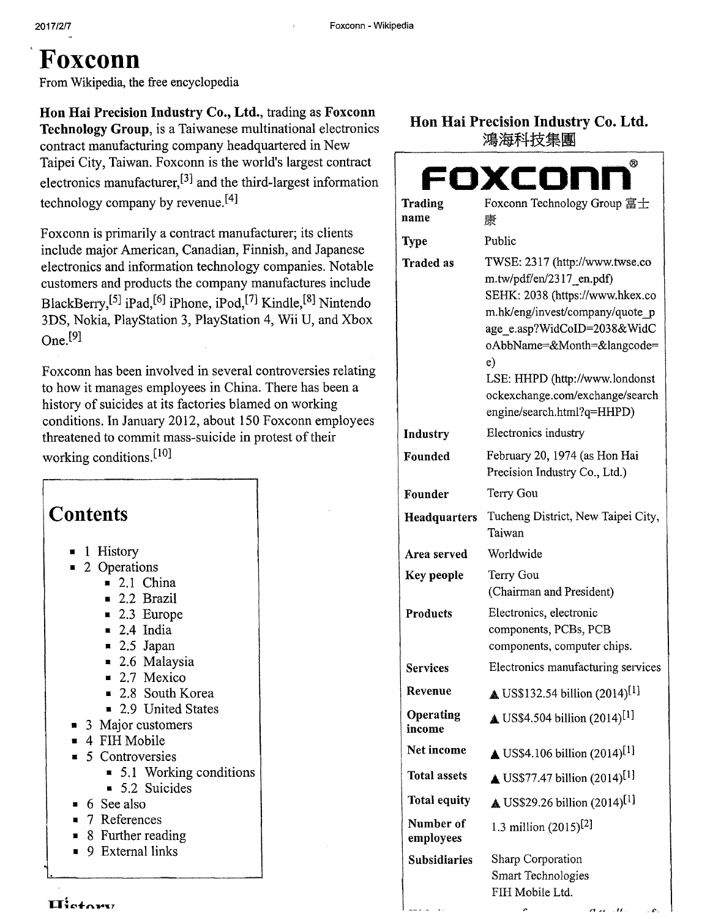# **Foxconn**

From Wikipedia, the free encyclopedia

**Hon Hai Precision Industry Co., Ltd.,** trading as **Foxconn Technology Group,** is a Taiwanese multinational electronics contract manufacturing company headquartered in New Taipei City, Taiwan. Foxconn is the world's largest contract electronics manufacturer, $^{[3]}$  and the third-largest information technology company by revenue.<sup>[4]</sup>

Foxconn is primarily a contract manufacturer; its clients include major American, Canadian, Finnish, and Japanese electronics and information technology companies. Notable customers and products the company manufactures include BlackBerry,<sup>[5]</sup> iPad,<sup>[6]</sup> iPhone, iPod,<sup>[7]</sup> Kindle,<sup>[8]</sup> Nintendo 3DS, Nokia, PlayStation 3, PlayStation 4, Wii U, and Xbox One. [91

Foxconn has been involved in several controversies relating to how it manages employees in China. There has been a history of suicides at its factories blamed on working conditions. In January 2012, about 150 Foxconn employees threatened to commit mass-suicide in protest of their working conditions.<sup>[10]</sup>

## **Contents**

- **1** History
- 2 Operations
	- $\blacksquare$  2.1 China
	- 2.2 Brazil
	- 2.3 Europe
	- $\blacksquare$  2.4 India
	- $\blacksquare$  2.5 Japan
	- 2.6 Malaysia
	- 2.7 Mexico
	- 2.8 South Korea
	- 2.9 United States
	- 3 Major customers
- 4 FIH Mobile
- 5 Controversies
	- 5.1 Working conditions
	- 5.2 Suicides
- 6 See also
- 7 References
- 8 Further reading
- 9 External links

#### **Hon Hai Precision Industry Co. Ltd.**  鴻海科技集團

|                        | œ                                                                                                                                                                                                                                                                                                      |
|------------------------|--------------------------------------------------------------------------------------------------------------------------------------------------------------------------------------------------------------------------------------------------------------------------------------------------------|
|                        | oxcon                                                                                                                                                                                                                                                                                                  |
| <b>Trading</b>         | Foxconn Technology Group 富士                                                                                                                                                                                                                                                                            |
| name                   | 康                                                                                                                                                                                                                                                                                                      |
| <b>Type</b>            | Public                                                                                                                                                                                                                                                                                                 |
| <b>Traded as</b>       | TWSE: 2317 (http://www.twse.co<br>m.tw/pdf/en/2317 en.pdf)<br>SEHK: 2038 (https://www.hkex.co<br>m.hk/eng/invest/company/quote p<br>age_e.asp?WidCoID=2038&WidC<br>oAbbName=&Month=&langcode=<br>e)<br>LSE: HHPD (http://www.londonst<br>ockexchange.com/exchange/search<br>engine/search.html?q=HHPD) |
| Industry               | Electronics industry                                                                                                                                                                                                                                                                                   |
| Founded                | February 20, 1974 (as Hon Hai<br>Precision Industry Co., Ltd.)                                                                                                                                                                                                                                         |
| Founder                | Terry Gou                                                                                                                                                                                                                                                                                              |
| <b>Headquarters</b>    | Tucheng District, New Taipei City,<br>Taiwan                                                                                                                                                                                                                                                           |
| Area served            | Worldwide                                                                                                                                                                                                                                                                                              |
| Key people             | Terry Gou<br>(Chairman and President)                                                                                                                                                                                                                                                                  |
| <b>Products</b>        | Electronics, electronic<br>components, PCBs, PCB<br>components, computer chips.                                                                                                                                                                                                                        |
| <b>Services</b>        | Electronics manufacturing services                                                                                                                                                                                                                                                                     |
| Revenue                | $\triangle$ US\$132.54 billion (2014) <sup>[1]</sup>                                                                                                                                                                                                                                                   |
| Operating<br>income    | $\triangle$ US\$4.504 billion (2014) <sup>[1]</sup>                                                                                                                                                                                                                                                    |
| Net income             | $\triangle$ US\$4.106 billion (2014) <sup>[1]</sup>                                                                                                                                                                                                                                                    |
| <b>Total assets</b>    | US\$77.47 billion (2014) <sup>[1]</sup>                                                                                                                                                                                                                                                                |
| <b>Total equity</b>    | $\triangle$ US\$29.26 billion (2014) <sup>[1]</sup>                                                                                                                                                                                                                                                    |
| Number of<br>employees | 1.3 million $(2015)^{[2]}$                                                                                                                                                                                                                                                                             |
| <b>Subsidiaries</b>    | Sharp Corporation<br>Smart Technologies<br>FIH Mobile Ltd.                                                                                                                                                                                                                                             |
|                        |                                                                                                                                                                                                                                                                                                        |

 $\mathbf{H}_{\text{other}}^{\text{t}}$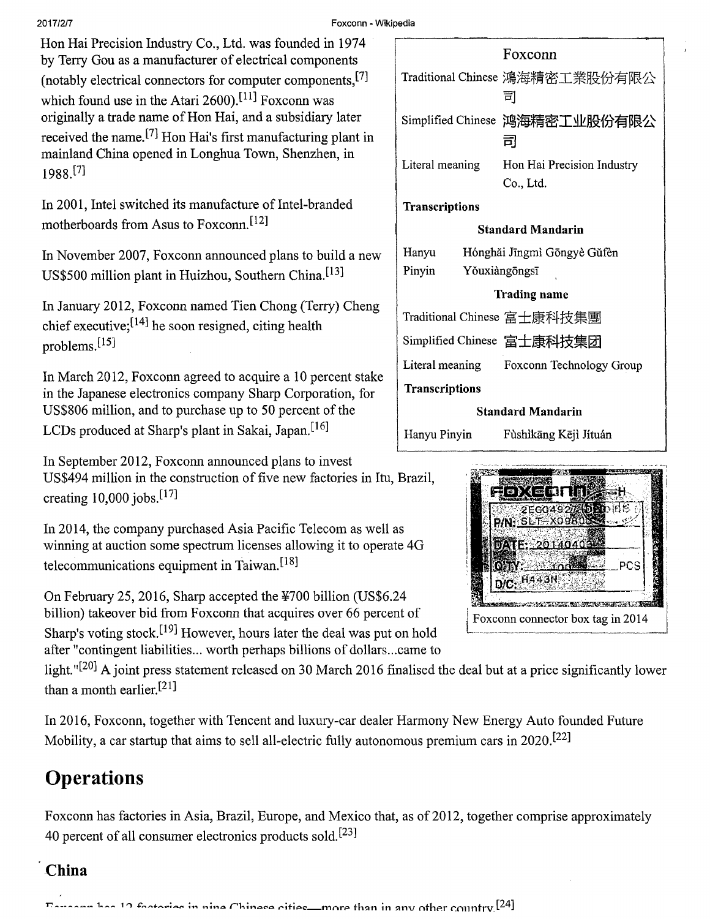#### Hon Hai Precision Industry Co., Ltd. was founded in 1974 by Terry Gou as a manufacturer of electrical components (notably electrical connectors for computer components. $[7]$ which found use in the Atari  $2600$ .<sup>[11]</sup> Foxconn was originally a trade name of Hon Hai, and a subsidiary later received the name. [7] Hon Hai's first manufacturing plant in mainland China opened in Longhua Town, Shenzhen, in 1988.[71

In 2001, Intel switched its manufacture of Intel-branded motherboards from Asus to Foxconn.[121

In November 2007, Foxconn announced plans to build a new US\$500 million plant in Huizhou, Southern China.{131

In January 2012, Foxconn named Tien Chong (Terry) Cheng chief executive;  $[14]$  he soon resigned, citing health problems.[151

In March 2012, Foxconn agreed to acquire a 10 percent stake in the Japanese electronics company Sharp Corporation, for US\$806 million, and to purchase up to 50 percent of the LCDs produced at Sharp's plant in Sakai, Japan.<sup>[16]</sup>

In September 2012, Foxconn announced plans to invest US\$494 million in the construction of five new factories in Itu, Brazil, creating  $10,000$  jobs.<sup>[17]</sup>

In 2014, the company purchased Asia Pacific Telecom as well as winning at auction some spectrum licenses allowing it to operate 4G telecommunications equipment in Taiwan. [181

On February 25, 2016, Sharp accepted the  $\frac{1}{200}$  billion (US\$6.24) billion) takeover bid from Foxconn that acquires over 66 percent of Sharp's voting stock.[191 However, hours later the deal was put on hold after "contingent liabilities.., worth perhaps billions of dollars.. .came to

light."<sup>[20]</sup> A joint press statement released on 30 March 2016 finalised the deal but at a price significantly lower than a month earlier.<sup>[21]</sup>

In 2016, Foxconn, together with Tencent and luxury-car dealer Harmony New Energy Auto founded Future Mobility, a car startup that aims to sell all-electric fully autonomous premium cars in 2020.<sup>[22]</sup>

## **Operations**

Foxconn has factories in Asia, Brazil, Europe, and Mexico that, as of 2012, together comprise approximately 40 percent of all consumer electronics products sold. [231

#### **China**

 $\sim$  10 footories in nine Chinese cities—more than in any other country [24]

| Traditional Chinese 鴻海精密工業股份有限公               |  |
|-----------------------------------------------|--|
| 司                                             |  |
| Simplified Chinese 鸿海精密工业股份有限公<br>司           |  |
| Literal meaning<br>Hon Hai Precision Industry |  |
| Co., Ltd.                                     |  |
| <b>Transcriptions</b>                         |  |
| <b>Standard Mandarin</b>                      |  |
| Hanyu<br>Hónghǎi Jīngmì Gōngyè Gǔfèn          |  |
| Pinyin<br>Yŏuxiàngōngsī                       |  |
| Trading name                                  |  |
| Traditional Chinese 富士康科技集團                   |  |
| Simplified Chinese 富士康科技集团                    |  |
| Literal meaning Foxconn Technology Group      |  |
| <b>Transcriptions</b>                         |  |
| <b>Standard Mandarin</b>                      |  |

Hanyu Pinyin Fùshìkāng Kējì Jítuán

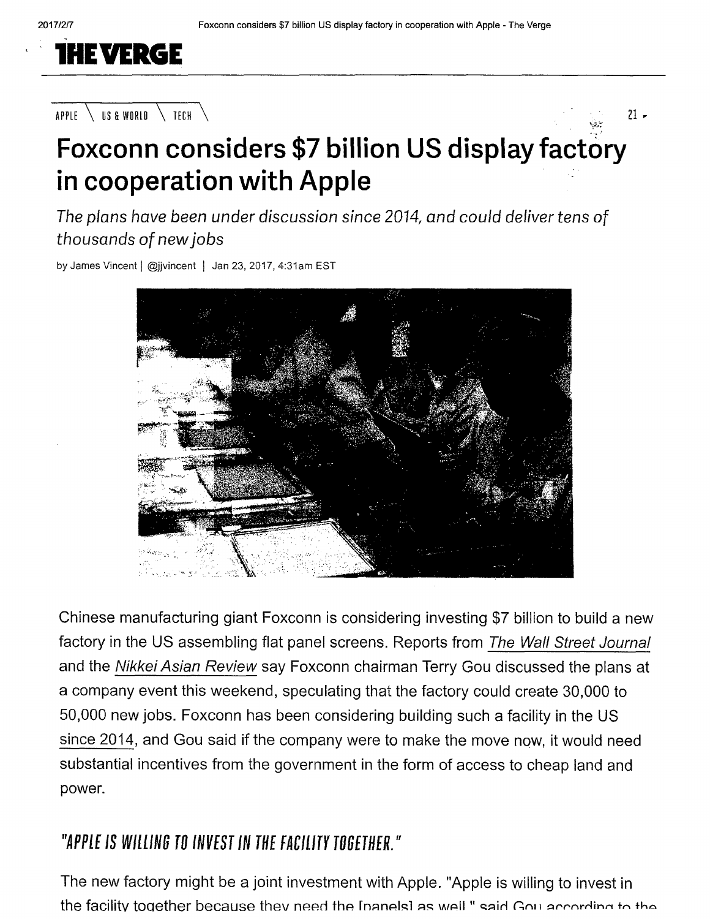

#### APPLE  $\setminus$  us a world  $\setminus$  tech  $\setminus$



The plans have been under discussion since 2014, and could deliver tens of thousands of newjobs

by James Vincent | @jjvincent | Jan 23, 2017, 4:31am EST



Chinese manufacturing giant Foxconn is considering investing \$7 billion to build a new factory in the US assembling flat panel screens. Reports from The Wall Street Journal and the Nikkei Asian Review say Foxconn chairman Terry Gou discussed the plans at a company event this weekend, speculating that the factory could create 30,000 to 50,000 new jobs. Foxconn has been considering building such a facility in the US since 2014, and Gou said if the company were to make the move now, it would need substantial incentives from the government in the form of access to cheap land and power.

### *"APPLE IS WILLING TO INVEST IN THE FACILITY TOGETHER."*

The new factory might be a joint investment with Apple. "Apple is willing to invest in the facility together because they need the Inanelsl as well " said Gou according to the